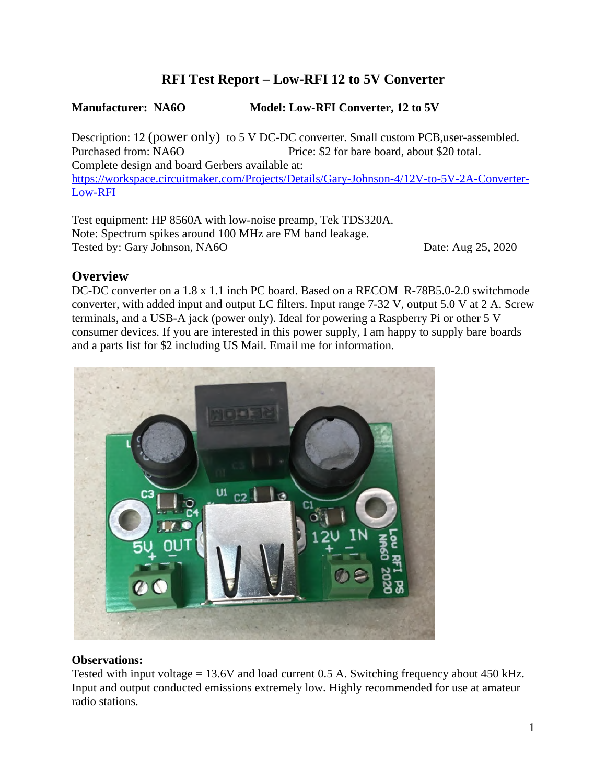# **RFI Test Report – Low-RFI 12 to 5V Converter**

### **Manufacturer: NA6O Model: Low-RFI Converter, 12 to 5V**

Description: 12 (power only) to 5 V DC-DC converter. Small custom PCB, user-assembled. Purchased from: NA6O Price: \$2 for bare board, about \$20 total. Complete design and board Gerbers available at: https://workspace.circuitmaker.com/Projects/Details/Gary-Johnson-4/12V-to-5V-2A-Converter-Low-RFI

Test equipment: HP 8560A with low-noise preamp, Tek TDS320A. Note: Spectrum spikes around 100 MHz are FM band leakage. Tested by: Gary Johnson, NA6O Date: Aug 25, 2020

## **Overview**

DC-DC converter on a 1.8 x 1.1 inch PC board. Based on a RECOM R-78B5.0-2.0 switchmode converter, with added input and output LC filters. Input range 7-32 V, output 5.0 V at 2 A. Screw terminals, and a USB-A jack (power only). Ideal for powering a Raspberry Pi or other 5 V consumer devices. If you are interested in this power supply, I am happy to supply bare boards and a parts list for \$2 including US Mail. Email me for information.



#### **Observations:**

Tested with input voltage  $= 13.6V$  and load current 0.5 A. Switching frequency about 450 kHz. Input and output conducted emissions extremely low. Highly recommended for use at amateur radio stations.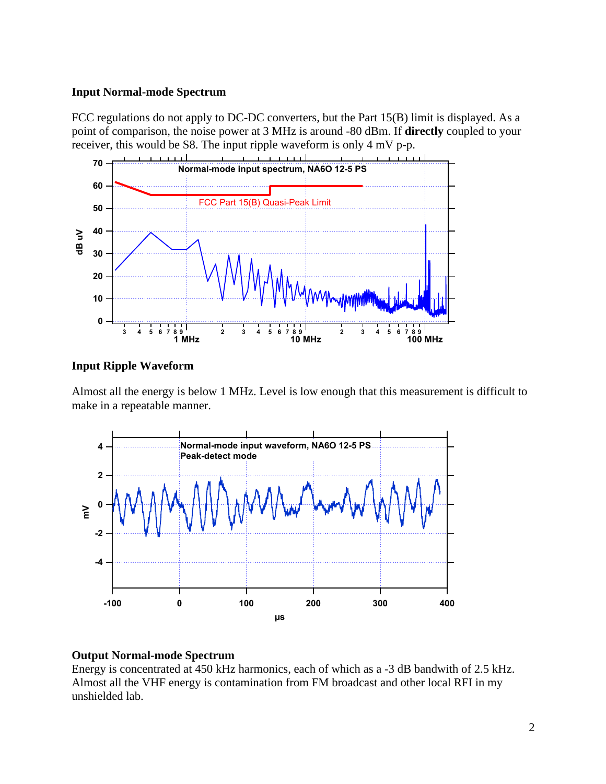#### **Input Normal-mode Spectrum**

FCC regulations do not apply to DC-DC converters, but the Part 15(B) limit is displayed. As a point of comparison, the noise power at 3 MHz is around -80 dBm. If **directly** coupled to your receiver, this would be S8. The input ripple waveform is only 4 mV p-p.



#### **Input Ripple Waveform**

Almost all the energy is below 1 MHz. Level is low enough that this measurement is difficult to make in a repeatable manner.



#### **Output Normal-mode Spectrum**

Energy is concentrated at 450 kHz harmonics, each of which as a -3 dB bandwith of 2.5 kHz. Almost all the VHF energy is contamination from FM broadcast and other local RFI in my unshielded lab.